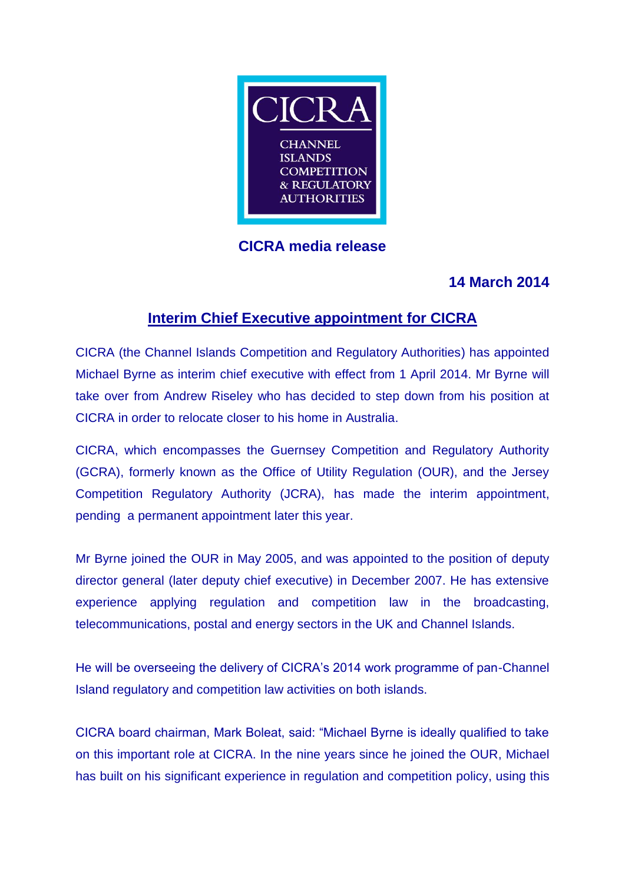

# **CICRA media release**

## **14 March 2014**

### **Interim Chief Executive appointment for CICRA**

CICRA (the Channel Islands Competition and Regulatory Authorities) has appointed Michael Byrne as interim chief executive with effect from 1 April 2014. Mr Byrne will take over from Andrew Riseley who has decided to step down from his position at CICRA in order to relocate closer to his home in Australia.

CICRA, which encompasses the Guernsey Competition and Regulatory Authority (GCRA), formerly known as the Office of Utility Regulation (OUR), and the Jersey Competition Regulatory Authority (JCRA), has made the interim appointment, pending a permanent appointment later this year.

Mr Byrne joined the OUR in May 2005, and was appointed to the position of deputy director general (later deputy chief executive) in December 2007. He has extensive experience applying regulation and competition law in the broadcasting, telecommunications, postal and energy sectors in the UK and Channel Islands.

He will be overseeing the delivery of CICRA's 2014 work programme of pan-Channel Island regulatory and competition law activities on both islands.

CICRA board chairman, Mark Boleat, said: "Michael Byrne is ideally qualified to take on this important role at CICRA. In the nine years since he joined the OUR, Michael has built on his significant experience in regulation and competition policy, using this